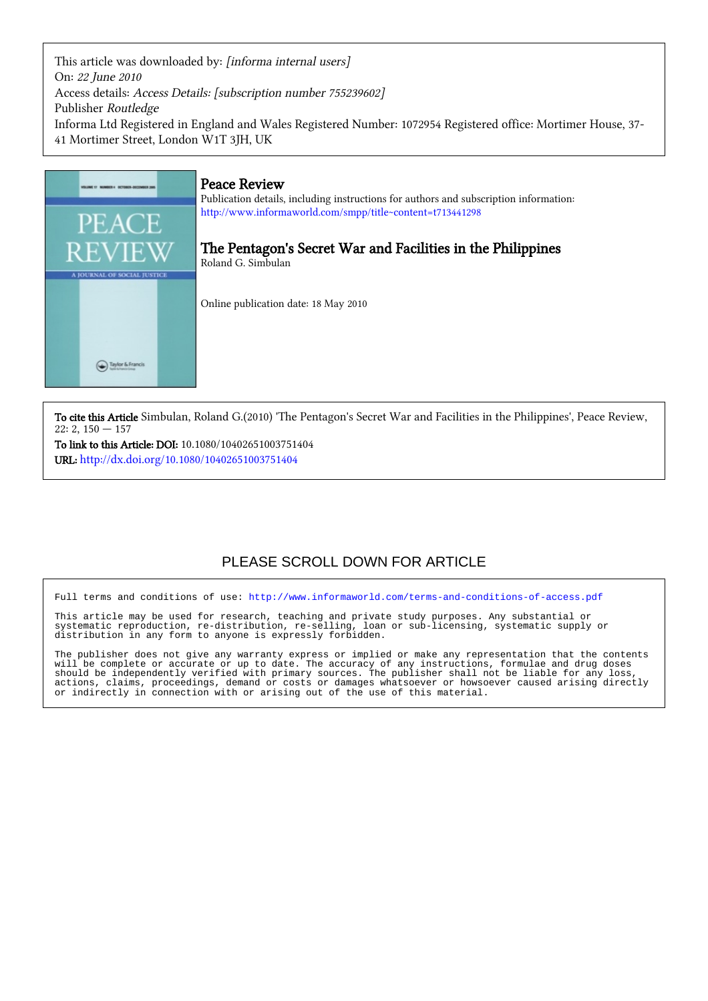This article was downloaded by: [informa internal users] On: 22 June 2010 Access details: Access Details: [subscription number 755239602] Publisher Routledge Informa Ltd Registered in England and Wales Registered Number: 1072954 Registered office: Mortimer House, 37- 41 Mortimer Street, London W1T 3JH, UK



To cite this Article Simbulan, Roland G.(2010) 'The Pentagon's Secret War and Facilities in the Philippines', Peace Review,  $22: 2, 150 - 157$ 

To link to this Article: DOI: 10.1080/10402651003751404 URL: <http://dx.doi.org/10.1080/10402651003751404>

## PLEASE SCROLL DOWN FOR ARTICLE

Full terms and conditions of use:<http://www.informaworld.com/terms-and-conditions-of-access.pdf>

This article may be used for research, teaching and private study purposes. Any substantial or systematic reproduction, re-distribution, re-selling, loan or sub-licensing, systematic supply or systematic reproduction, re-distribution, re-selling, loan or sub-licensing, systematic supply or distribution in any form to anyone is expressly forbidden.

The publisher does not give any warranty express or implied or make any representation that the contents will be complete or accurate or up to date. The accuracy of any instructions, formulae and drug doses should be independently verified with primary sources. The publisher shall not be liable for any loss, actions, claims, proceedings, demand or costs or damages whatsoever or howsoever caused arising directly or indirectly in connection with or arising out of the use of this material.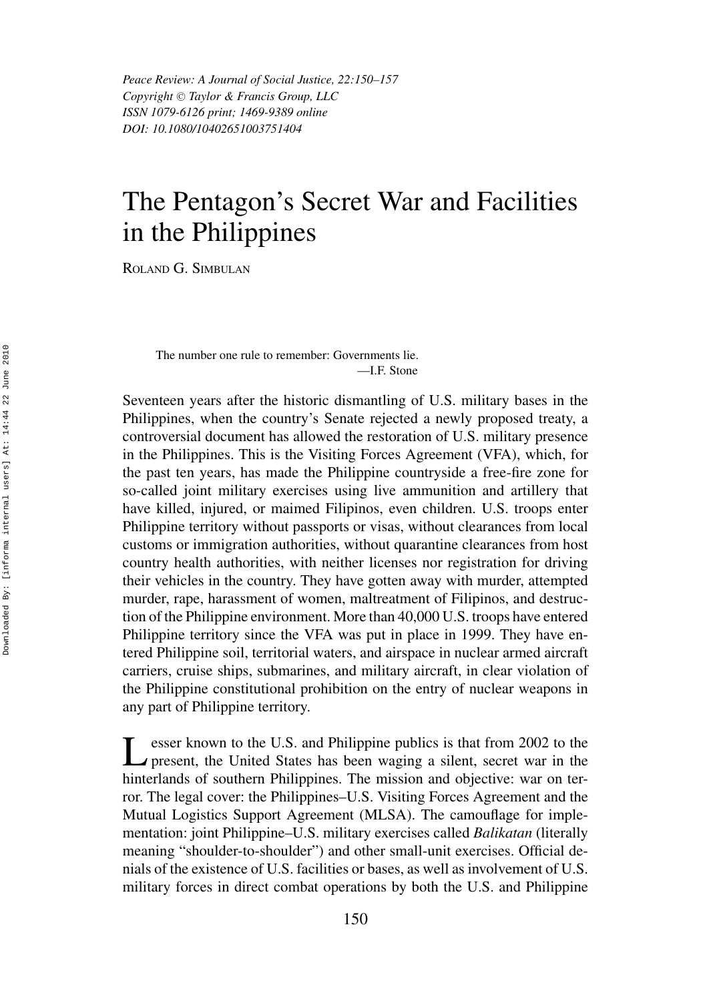*Peace Review: A Journal of Social Justice, 22:150–157 Copyright*  $\odot$  *Taylor & Francis Group, LLC ISSN 1079-6126 print; 1469-9389 online DOI: 10.1080/10402651003751404*

## The Pentagon's Secret War and Facilities in the Philippines

ROLAND G. SIMBULAN

The number one rule to remember: Governments lie. —I.F. Stone

Seventeen years after the historic dismantling of U.S. military bases in the Philippines, when the country's Senate rejected a newly proposed treaty, a controversial document has allowed the restoration of U.S. military presence in the Philippines. This is the Visiting Forces Agreement (VFA), which, for the past ten years, has made the Philippine countryside a free-fire zone for so-called joint military exercises using live ammunition and artillery that have killed, injured, or maimed Filipinos, even children. U.S. troops enter Philippine territory without passports or visas, without clearances from local customs or immigration authorities, without quarantine clearances from host country health authorities, with neither licenses nor registration for driving their vehicles in the country. They have gotten away with murder, attempted murder, rape, harassment of women, maltreatment of Filipinos, and destruction of the Philippine environment. More than 40,000 U.S. troops have entered Philippine territory since the VFA was put in place in 1999. They have entered Philippine soil, territorial waters, and airspace in nuclear armed aircraft carriers, cruise ships, submarines, and military aircraft, in clear violation of the Philippine constitutional prohibition on the entry of nuclear weapons in any part of Philippine territory.

esser known to the U.S. and Philippine publics is that from 2002 to the present, the United States has been waging a silent, secret war in the hinterlands of southern Philippines. The mission and objective: war on terror. The legal cover: the Philippines–U.S. Visiting Forces Agreement and the Mutual Logistics Support Agreement (MLSA). The camouflage for implementation: joint Philippine–U.S. military exercises called *Balikatan* (literally meaning "shoulder-to-shoulder") and other small-unit exercises. Official denials of the existence of U.S. facilities or bases, as well as involvement of U.S. military forces in direct combat operations by both the U.S. and Philippine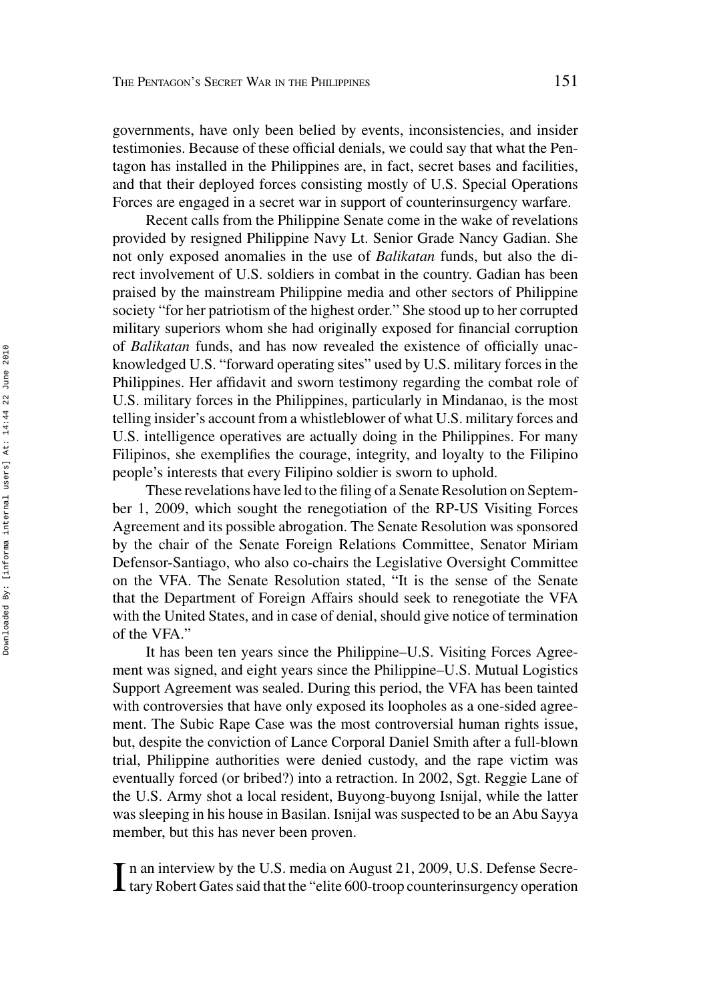governments, have only been belied by events, inconsistencies, and insider testimonies. Because of these official denials, we could say that what the Pentagon has installed in the Philippines are, in fact, secret bases and facilities, and that their deployed forces consisting mostly of U.S. Special Operations Forces are engaged in a secret war in support of counterinsurgency warfare.

Recent calls from the Philippine Senate come in the wake of revelations provided by resigned Philippine Navy Lt. Senior Grade Nancy Gadian. She not only exposed anomalies in the use of *Balikatan* funds, but also the direct involvement of U.S. soldiers in combat in the country. Gadian has been praised by the mainstream Philippine media and other sectors of Philippine society "for her patriotism of the highest order." She stood up to her corrupted military superiors whom she had originally exposed for financial corruption of *Balikatan* funds, and has now revealed the existence of officially unacknowledged U.S. "forward operating sites" used by U.S. military forces in the Philippines. Her affidavit and sworn testimony regarding the combat role of U.S. military forces in the Philippines, particularly in Mindanao, is the most telling insider's account from a whistleblower of what U.S. military forces and U.S. intelligence operatives are actually doing in the Philippines. For many Filipinos, she exemplifies the courage, integrity, and loyalty to the Filipino people's interests that every Filipino soldier is sworn to uphold.

These revelations have led to the filing of a Senate Resolution on September 1, 2009, which sought the renegotiation of the RP-US Visiting Forces Agreement and its possible abrogation. The Senate Resolution was sponsored by the chair of the Senate Foreign Relations Committee, Senator Miriam Defensor-Santiago, who also co-chairs the Legislative Oversight Committee on the VFA. The Senate Resolution stated, "It is the sense of the Senate that the Department of Foreign Affairs should seek to renegotiate the VFA with the United States, and in case of denial, should give notice of termination of the VFA."

It has been ten years since the Philippine–U.S. Visiting Forces Agreement was signed, and eight years since the Philippine–U.S. Mutual Logistics Support Agreement was sealed. During this period, the VFA has been tainted with controversies that have only exposed its loopholes as a one-sided agreement. The Subic Rape Case was the most controversial human rights issue, but, despite the conviction of Lance Corporal Daniel Smith after a full-blown trial, Philippine authorities were denied custody, and the rape victim was eventually forced (or bribed?) into a retraction. In 2002, Sgt. Reggie Lane of the U.S. Army shot a local resident, Buyong-buyong Isnijal, while the latter was sleeping in his house in Basilan. Isnijal was suspected to be an Abu Sayya member, but this has never been proven.

In an interview by the U.S. media on August 21, 2009, U.S. Defense Secretary Robert Gates said that the "elite 600-troop counterinsurgency operation n an interview by the U.S. media on August 21, 2009, U.S. Defense Secre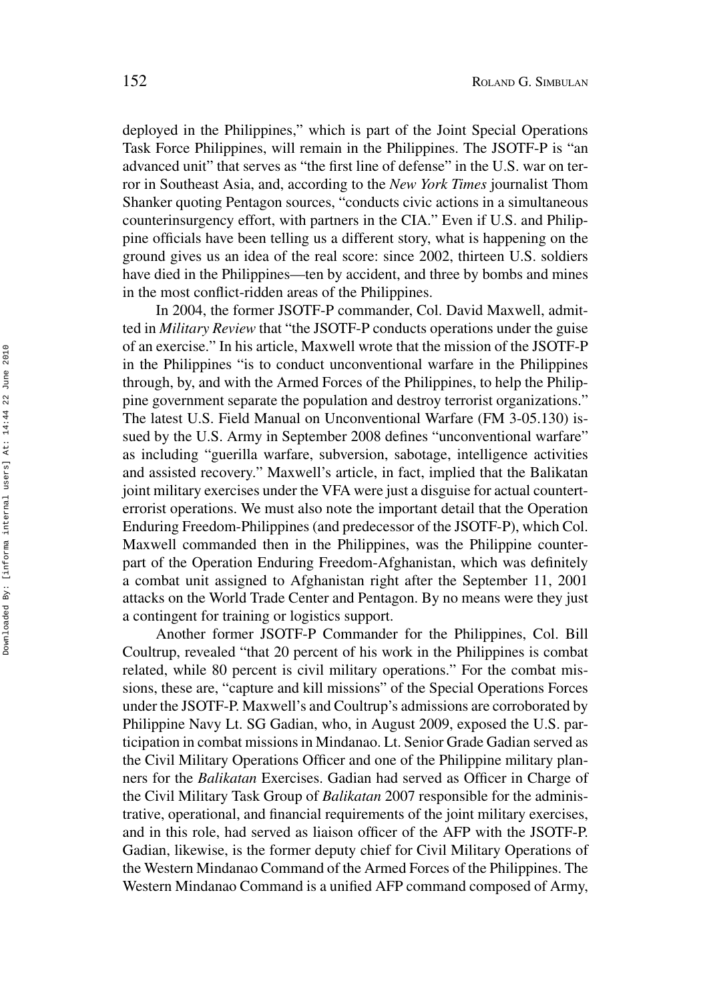deployed in the Philippines," which is part of the Joint Special Operations Task Force Philippines, will remain in the Philippines. The JSOTF-P is "an advanced unit" that serves as "the first line of defense" in the U.S. war on terror in Southeast Asia, and, according to the *New York Times* journalist Thom Shanker quoting Pentagon sources, "conducts civic actions in a simultaneous counterinsurgency effort, with partners in the CIA." Even if U.S. and Philippine officials have been telling us a different story, what is happening on the ground gives us an idea of the real score: since 2002, thirteen U.S. soldiers have died in the Philippines—ten by accident, and three by bombs and mines in the most conflict-ridden areas of the Philippines.

In 2004, the former JSOTF-P commander, Col. David Maxwell, admitted in *Military Review* that "the JSOTF-P conducts operations under the guise of an exercise." In his article, Maxwell wrote that the mission of the JSOTF-P in the Philippines "is to conduct unconventional warfare in the Philippines through, by, and with the Armed Forces of the Philippines, to help the Philippine government separate the population and destroy terrorist organizations." The latest U.S. Field Manual on Unconventional Warfare (FM 3-05.130) issued by the U.S. Army in September 2008 defines "unconventional warfare" as including "guerilla warfare, subversion, sabotage, intelligence activities and assisted recovery." Maxwell's article, in fact, implied that the Balikatan joint military exercises under the VFA were just a disguise for actual counterterrorist operations. We must also note the important detail that the Operation Enduring Freedom-Philippines (and predecessor of the JSOTF-P), which Col. Maxwell commanded then in the Philippines, was the Philippine counterpart of the Operation Enduring Freedom-Afghanistan, which was definitely a combat unit assigned to Afghanistan right after the September 11, 2001 attacks on the World Trade Center and Pentagon. By no means were they just a contingent for training or logistics support.

Another former JSOTF-P Commander for the Philippines, Col. Bill Coultrup, revealed "that 20 percent of his work in the Philippines is combat related, while 80 percent is civil military operations." For the combat missions, these are, "capture and kill missions" of the Special Operations Forces under the JSOTF-P. Maxwell's and Coultrup's admissions are corroborated by Philippine Navy Lt. SG Gadian, who, in August 2009, exposed the U.S. participation in combat missions in Mindanao. Lt. Senior Grade Gadian served as the Civil Military Operations Officer and one of the Philippine military planners for the *Balikatan* Exercises. Gadian had served as Officer in Charge of the Civil Military Task Group of *Balikatan* 2007 responsible for the administrative, operational, and financial requirements of the joint military exercises, and in this role, had served as liaison officer of the AFP with the JSOTF-P. Gadian, likewise, is the former deputy chief for Civil Military Operations of the Western Mindanao Command of the Armed Forces of the Philippines. The Western Mindanao Command is a unified AFP command composed of Army,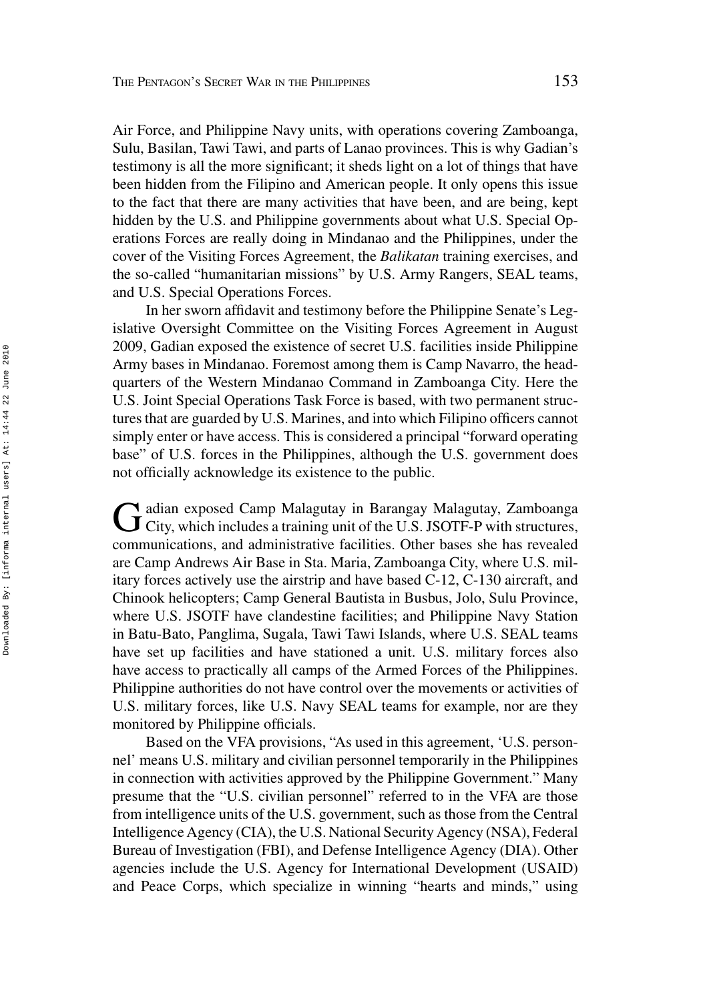Air Force, and Philippine Navy units, with operations covering Zamboanga, Sulu, Basilan, Tawi Tawi, and parts of Lanao provinces. This is why Gadian's testimony is all the more significant; it sheds light on a lot of things that have been hidden from the Filipino and American people. It only opens this issue to the fact that there are many activities that have been, and are being, kept hidden by the U.S. and Philippine governments about what U.S. Special Operations Forces are really doing in Mindanao and the Philippines, under the cover of the Visiting Forces Agreement, the *Balikatan* training exercises, and the so-called "humanitarian missions" by U.S. Army Rangers, SEAL teams, and U.S. Special Operations Forces.

In her sworn affidavit and testimony before the Philippine Senate's Legislative Oversight Committee on the Visiting Forces Agreement in August 2009, Gadian exposed the existence of secret U.S. facilities inside Philippine Army bases in Mindanao. Foremost among them is Camp Navarro, the headquarters of the Western Mindanao Command in Zamboanga City. Here the U.S. Joint Special Operations Task Force is based, with two permanent structures that are guarded by U.S. Marines, and into which Filipino officers cannot simply enter or have access. This is considered a principal "forward operating base" of U.S. forces in the Philippines, although the U.S. government does not officially acknowledge its existence to the public.

Gadian exposed Camp Malagutay in Barangay Malagutay, Zamboanga<br>City, which includes a training unit of the U.S. JSOTF-P with structures, communications, and administrative facilities. Other bases she has revealed are Camp Andrews Air Base in Sta. Maria, Zamboanga City, where U.S. military forces actively use the airstrip and have based C-12, C-130 aircraft, and Chinook helicopters; Camp General Bautista in Busbus, Jolo, Sulu Province, where U.S. JSOTF have clandestine facilities; and Philippine Navy Station in Batu-Bato, Panglima, Sugala, Tawi Tawi Islands, where U.S. SEAL teams have set up facilities and have stationed a unit. U.S. military forces also have access to practically all camps of the Armed Forces of the Philippines. Philippine authorities do not have control over the movements or activities of U.S. military forces, like U.S. Navy SEAL teams for example, nor are they monitored by Philippine officials.

Based on the VFA provisions, "As used in this agreement, 'U.S. personnel' means U.S. military and civilian personnel temporarily in the Philippines in connection with activities approved by the Philippine Government." Many presume that the "U.S. civilian personnel" referred to in the VFA are those from intelligence units of the U.S. government, such as those from the Central Intelligence Agency (CIA), the U.S. National Security Agency (NSA), Federal Bureau of Investigation (FBI), and Defense Intelligence Agency (DIA). Other agencies include the U.S. Agency for International Development (USAID) and Peace Corps, which specialize in winning "hearts and minds," using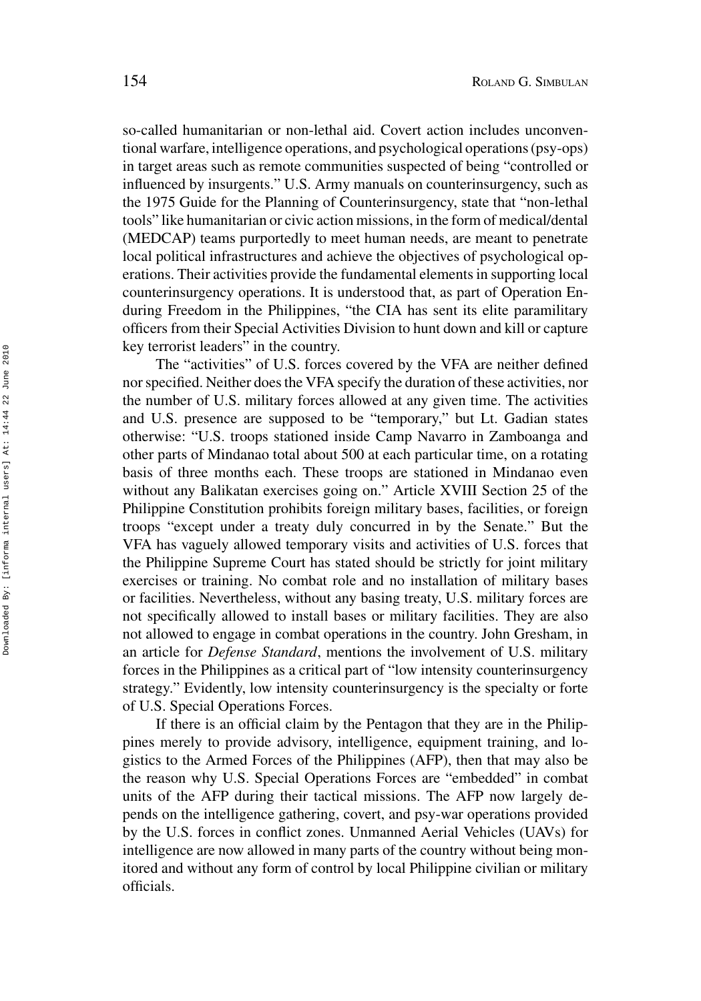so-called humanitarian or non-lethal aid. Covert action includes unconventional warfare, intelligence operations, and psychological operations (psy-ops) in target areas such as remote communities suspected of being "controlled or influenced by insurgents." U.S. Army manuals on counterinsurgency, such as the 1975 Guide for the Planning of Counterinsurgency, state that "non-lethal tools" like humanitarian or civic action missions, in the form of medical/dental (MEDCAP) teams purportedly to meet human needs, are meant to penetrate local political infrastructures and achieve the objectives of psychological operations. Their activities provide the fundamental elements in supporting local counterinsurgency operations. It is understood that, as part of Operation Enduring Freedom in the Philippines, "the CIA has sent its elite paramilitary officers from their Special Activities Division to hunt down and kill or capture key terrorist leaders" in the country.

The "activities" of U.S. forces covered by the VFA are neither defined nor specified. Neither does the VFA specify the duration of these activities, nor the number of U.S. military forces allowed at any given time. The activities and U.S. presence are supposed to be "temporary," but Lt. Gadian states otherwise: "U.S. troops stationed inside Camp Navarro in Zamboanga and other parts of Mindanao total about 500 at each particular time, on a rotating basis of three months each. These troops are stationed in Mindanao even without any Balikatan exercises going on." Article XVIII Section 25 of the Philippine Constitution prohibits foreign military bases, facilities, or foreign troops "except under a treaty duly concurred in by the Senate." But the VFA has vaguely allowed temporary visits and activities of U.S. forces that the Philippine Supreme Court has stated should be strictly for joint military exercises or training. No combat role and no installation of military bases or facilities. Nevertheless, without any basing treaty, U.S. military forces are not specifically allowed to install bases or military facilities. They are also not allowed to engage in combat operations in the country. John Gresham, in an article for *Defense Standard*, mentions the involvement of U.S. military forces in the Philippines as a critical part of "low intensity counterinsurgency strategy." Evidently, low intensity counterinsurgency is the specialty or forte of U.S. Special Operations Forces.

If there is an official claim by the Pentagon that they are in the Philippines merely to provide advisory, intelligence, equipment training, and logistics to the Armed Forces of the Philippines (AFP), then that may also be the reason why U.S. Special Operations Forces are "embedded" in combat units of the AFP during their tactical missions. The AFP now largely depends on the intelligence gathering, covert, and psy-war operations provided by the U.S. forces in conflict zones. Unmanned Aerial Vehicles (UAVs) for intelligence are now allowed in many parts of the country without being monitored and without any form of control by local Philippine civilian or military officials.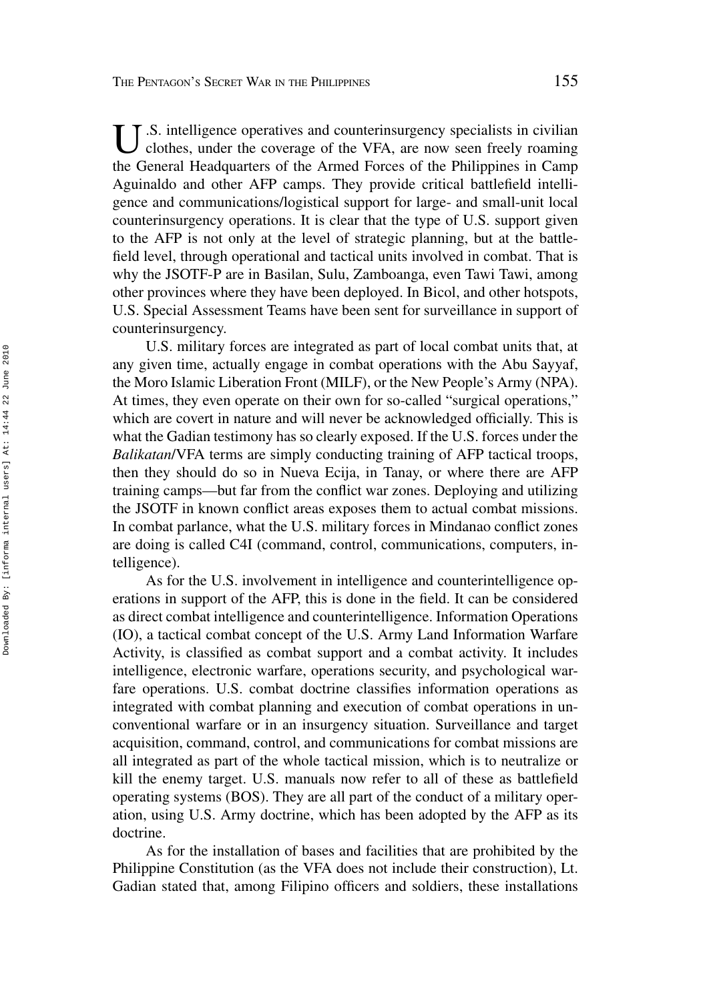U.S. intelligence operatives and counterinsurgency specialists in civilian clothes, under the coverage of the VFA, are now seen freely roaming the General Headquarters of the Armed Forces of the Philippines in Camp Aguinaldo and other AFP camps. They provide critical battlefield intelligence and communications/logistical support for large- and small-unit local counterinsurgency operations. It is clear that the type of U.S. support given to the AFP is not only at the level of strategic planning, but at the battlefield level, through operational and tactical units involved in combat. That is why the JSOTF-P are in Basilan, Sulu, Zamboanga, even Tawi Tawi, among other provinces where they have been deployed. In Bicol, and other hotspots, U.S. Special Assessment Teams have been sent for surveillance in support of counterinsurgency.

U.S. military forces are integrated as part of local combat units that, at any given time, actually engage in combat operations with the Abu Sayyaf, the Moro Islamic Liberation Front (MILF), or the New People's Army (NPA). At times, they even operate on their own for so-called "surgical operations," which are covert in nature and will never be acknowledged officially. This is what the Gadian testimony has so clearly exposed. If the U.S. forces under the *Balikatan*/VFA terms are simply conducting training of AFP tactical troops, then they should do so in Nueva Ecija, in Tanay, or where there are AFP training camps—but far from the conflict war zones. Deploying and utilizing the JSOTF in known conflict areas exposes them to actual combat missions. In combat parlance, what the U.S. military forces in Mindanao conflict zones are doing is called C4I (command, control, communications, computers, intelligence).

As for the U.S. involvement in intelligence and counterintelligence operations in support of the AFP, this is done in the field. It can be considered as direct combat intelligence and counterintelligence. Information Operations (IO), a tactical combat concept of the U.S. Army Land Information Warfare Activity, is classified as combat support and a combat activity. It includes intelligence, electronic warfare, operations security, and psychological warfare operations. U.S. combat doctrine classifies information operations as integrated with combat planning and execution of combat operations in unconventional warfare or in an insurgency situation. Surveillance and target acquisition, command, control, and communications for combat missions are all integrated as part of the whole tactical mission, which is to neutralize or kill the enemy target. U.S. manuals now refer to all of these as battlefield operating systems (BOS). They are all part of the conduct of a military operation, using U.S. Army doctrine, which has been adopted by the AFP as its doctrine.

As for the installation of bases and facilities that are prohibited by the Philippine Constitution (as the VFA does not include their construction), Lt. Gadian stated that, among Filipino officers and soldiers, these installations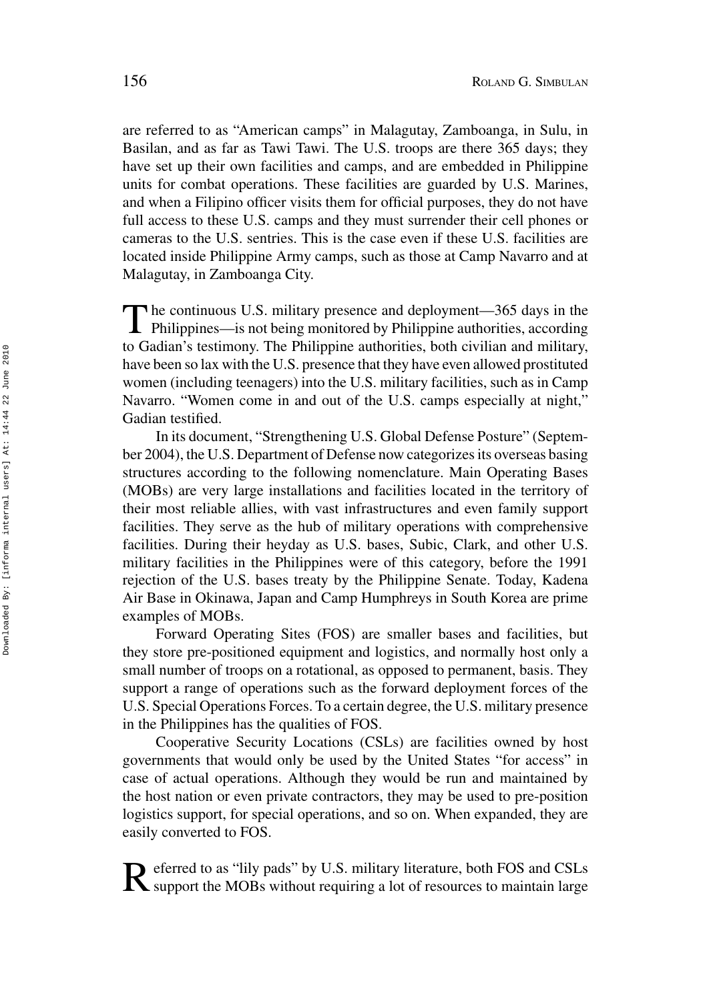are referred to as "American camps" in Malagutay, Zamboanga, in Sulu, in Basilan, and as far as Tawi Tawi. The U.S. troops are there 365 days; they have set up their own facilities and camps, and are embedded in Philippine units for combat operations. These facilities are guarded by U.S. Marines, and when a Filipino officer visits them for official purposes, they do not have full access to these U.S. camps and they must surrender their cell phones or cameras to the U.S. sentries. This is the case even if these U.S. facilities are located inside Philippine Army camps, such as those at Camp Navarro and at Malagutay, in Zamboanga City.

The continuous U.S. military presence and deployment—365 days in the Philippines—is not being monitored by Philippine authorities, according to Gadian's testimony. The Philippine authorities, both civilian and military, have been so lax with the U.S. presence that they have even allowed prostituted women (including teenagers) into the U.S. military facilities, such as in Camp Navarro. "Women come in and out of the U.S. camps especially at night," Gadian testified.

In its document, "Strengthening U.S. Global Defense Posture" (September 2004), the U.S. Department of Defense now categorizes its overseas basing structures according to the following nomenclature. Main Operating Bases (MOBs) are very large installations and facilities located in the territory of their most reliable allies, with vast infrastructures and even family support facilities. They serve as the hub of military operations with comprehensive facilities. During their heyday as U.S. bases, Subic, Clark, and other U.S. military facilities in the Philippines were of this category, before the 1991 rejection of the U.S. bases treaty by the Philippine Senate. Today, Kadena Air Base in Okinawa, Japan and Camp Humphreys in South Korea are prime examples of MOBs.

Forward Operating Sites (FOS) are smaller bases and facilities, but they store pre-positioned equipment and logistics, and normally host only a small number of troops on a rotational, as opposed to permanent, basis. They support a range of operations such as the forward deployment forces of the U.S. Special Operations Forces. To a certain degree, the U.S. military presence in the Philippines has the qualities of FOS.

Cooperative Security Locations (CSLs) are facilities owned by host governments that would only be used by the United States "for access" in case of actual operations. Although they would be run and maintained by the host nation or even private contractors, they may be used to pre-position logistics support, for special operations, and so on. When expanded, they are easily converted to FOS.

Referred to as "lily pads" by U.S. military literature, both FOS and CSLs support the MOBs without requiring a lot of resources to maintain large